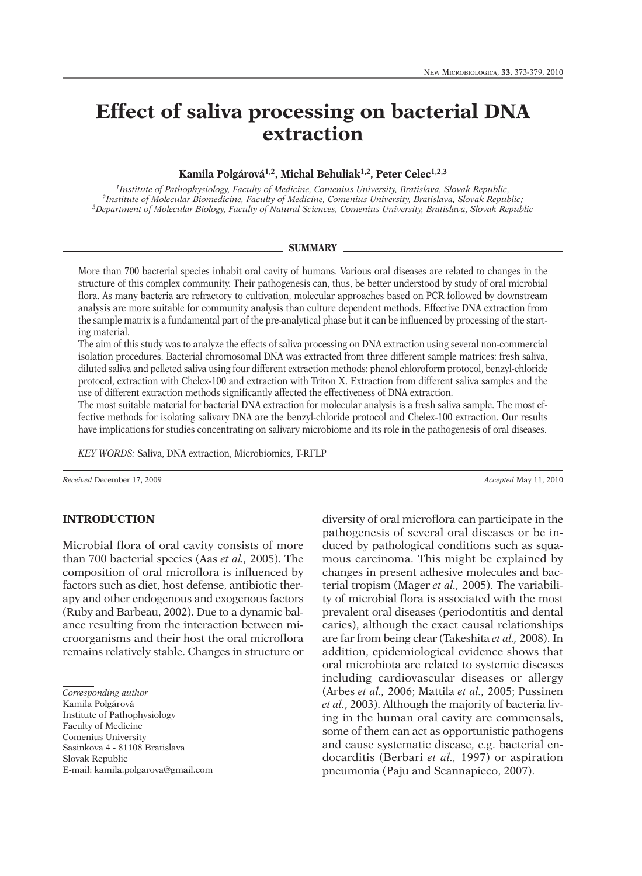# **Effect of saliva processing on bacterial DNA extraction**

# **Kamila Polgárová1,2, Michal Behuliak1,2, Peter Celec1,2,3**

*1Institute of Pathophysiology, Faculty of Medicine, Comenius University, Bratislava, Slovak Republic, 2Institute of Molecular Biomedicine, Faculty of Medicine, Comenius University, Bratislava, Slovak Republic; 3Department of Molecular Biology, Faculty of Natural Sciences, Comenius University, Bratislava, Slovak Republic*

#### **SUMMARY**

More than 700 bacterial species inhabit oral cavity of humans. Various oral diseases are related to changes in the structure of this complex community. Their pathogenesis can, thus, be better understood by study of oral microbial flora. As many bacteria are refractory to cultivation, molecular approaches based on PCR followed by downstream analysis are more suitable for community analysis than culture dependent methods. Effective DNA extraction from the sample matrix is a fundamental part of the pre-analytical phase but it can be influenced by processing of the starting material.

The aim of this study was to analyze the effects of saliva processing on DNA extraction using several non-commercial isolation procedures. Bacterial chromosomal DNA was extracted from three different sample matrices: fresh saliva, diluted saliva and pelleted saliva using four different extraction methods: phenol chloroform protocol, benzyl-chloride protocol, extraction with Chelex-100 and extraction with Triton X. Extraction from different saliva samples and the use of different extraction methods significantly affected the effectiveness of DNA extraction.

The most suitable material for bacterial DNA extraction for molecular analysis is a fresh saliva sample. The most effective methods for isolating salivary DNA are the benzyl-chloride protocol and Chelex-100 extraction. Our results have implications for studies concentrating on salivary microbiome and its role in the pathogenesis of oral diseases.

*KEY WORDS:* Saliva, DNA extraction, Microbiomics, T-RFLP

*Received* December 17, 2009 *Accepted* May 11, 2010

# **INTRODUCTION**

Microbial flora of oral cavity consists of more than 700 bacterial species (Aas *et al.,* 2005). The composition of oral microflora is influenced by factors such as diet, host defense, antibiotic therapy and other endogenous and exogenous factors (Ruby and Barbeau, 2002). Due to a dynamic balance resulting from the interaction between microorganisms and their host the oral microflora remains relatively stable. Changes in structure or

*Corresponding author* Kamila Polgárová Institute of Pathophysiology Faculty of Medicine Comenius University Sasinkova 4 - 81108 Bratislava Slovak Republic E-mail: kamila.polgarova@gmail.com

diversity of oral microflora can participate in the pathogenesis of several oral diseases or be induced by pathological conditions such as squamous carcinoma. This might be explained by changes in present adhesive molecules and bacterial tropism (Mager *et al.,* 2005). The variability of microbial flora is associated with the most prevalent oral diseases (periodontitis and dental caries), although the exact causal relationships are far from being clear (Takeshita *et al.,* 2008). In addition, epidemiological evidence shows that oral microbiota are related to systemic diseases including cardiovascular diseases or allergy (Arbes *et al.,* 2006; Mattila *et al.,* 2005; Pussinen *et al.*, 2003). Although the majority of bacteria living in the human oral cavity are commensals, some of them can act as opportunistic pathogens and cause systematic disease, e.g. bacterial endocarditis (Berbari *et al.,* 1997) or aspiration pneumonia (Paju and Scannapieco, 2007).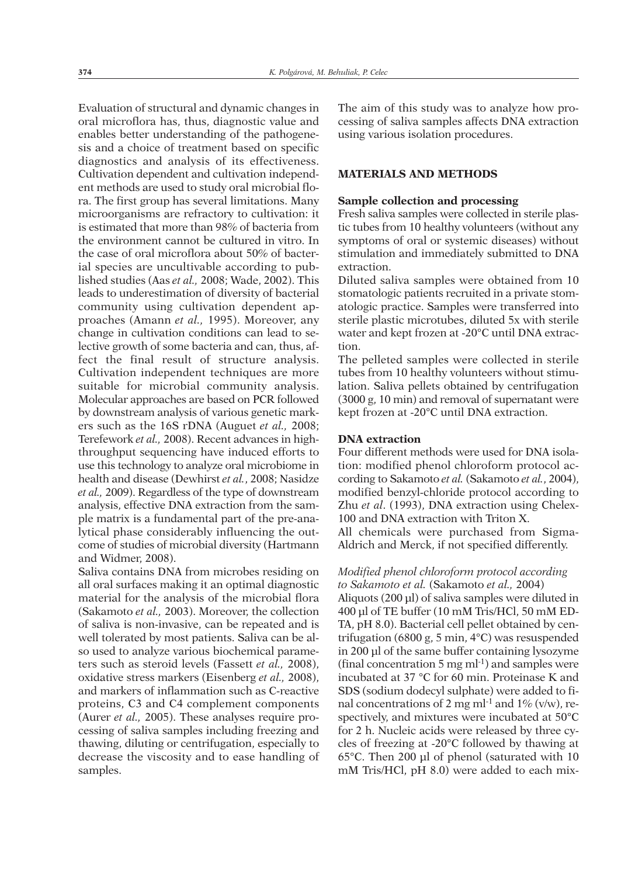Evaluation of structural and dynamic changes in oral microflora has, thus, diagnostic value and enables better understanding of the pathogenesis and a choice of treatment based on specific diagnostics and analysis of its effectiveness. Cultivation dependent and cultivation independent methods are used to study oral microbial flora. The first group has several limitations. Many microorganisms are refractory to cultivation: it is estimated that more than 98% of bacteria from the environment cannot be cultured in vitro. In the case of oral microflora about 50% of bacterial species are uncultivable according to published studies (Aas *et al.,* 2008; Wade, 2002). This leads to underestimation of diversity of bacterial community using cultivation dependent approaches (Amann *et al.,* 1995). Moreover, any change in cultivation conditions can lead to selective growth of some bacteria and can, thus, affect the final result of structure analysis. Cultivation independent techniques are more suitable for microbial community analysis. Molecular approaches are based on PCR followed by downstream analysis of various genetic markers such as the 16S rDNA (Auguet *et al.,* 2008; Terefework *et al.,* 2008). Recent advances in highthroughput sequencing have induced efforts to use this technology to analyze oral microbiome in health and disease (Dewhirst *et al.*, 2008; Nasidze *et al.,* 2009). Regardless of the type of downstream analysis, effective DNA extraction from the sample matrix is a fundamental part of the pre-analytical phase considerably influencing the outcome of studies of microbial diversity (Hartmann and Widmer, 2008).

Saliva contains DNA from microbes residing on all oral surfaces making it an optimal diagnostic material for the analysis of the microbial flora (Sakamoto *et al.,* 2003). Moreover, the collection of saliva is non-invasive, can be repeated and is well tolerated by most patients. Saliva can be also used to analyze various biochemical parameters such as steroid levels (Fassett *et al.,* 2008), oxidative stress markers (Eisenberg *et al.,* 2008), and markers of inflammation such as C-reactive proteins, C3 and C4 complement components (Aurer *et al.,* 2005). These analyses require processing of saliva samples including freezing and thawing, diluting or centrifugation, especially to decrease the viscosity and to ease handling of samples.

The aim of this study was to analyze how processing of saliva samples affects DNA extraction using various isolation procedures.

## **MATERIALS AND METHODS**

## **Sample collection and processing**

Fresh saliva samples were collected in sterile plastic tubes from 10 healthy volunteers (without any symptoms of oral or systemic diseases) without stimulation and immediately submitted to DNA extraction.

Diluted saliva samples were obtained from 10 stomatologic patients recruited in a private stomatologic practice. Samples were transferred into sterile plastic microtubes, diluted 5x with sterile water and kept frozen at -20°C until DNA extraction.

The pelleted samples were collected in sterile tubes from 10 healthy volunteers without stimulation. Saliva pellets obtained by centrifugation (3000 g, 10 min) and removal of supernatant were kept frozen at -20°C until DNA extraction.

## **DNA extraction**

Four different methods were used for DNA isolation: modified phenol chloroform protocol according to Sakamoto *et al.* (Sakamoto *et al.*, 2004), modified benzyl-chloride protocol according to Zhu *et al*. (1993), DNA extraction using Chelex-100 and DNA extraction with Triton X. All chemicals were purchased from Sigma-Aldrich and Merck, if not specified differently.

*Modified phenol chloroform protocol according to Sakamoto et al.* (Sakamoto *et al.,* 2004) Aliquots (200 µl) of saliva samples were diluted in 400 µl of TE buffer (10 mM Tris/HCl, 50 mM ED-TA, pH 8.0). Bacterial cell pellet obtained by centrifugation (6800 g, 5 min, 4°C) was resuspended in 200 µl of the same buffer containing lysozyme (final concentration 5 mg ml -1) and samples were incubated at 37 °C for 60 min. Proteinase K and SDS (sodium dodecyl sulphate) were added to final concentrations of 2 mg ml<sup>-1</sup> and  $1\%$  (v/w), respectively, and mixtures were incubated at 50°C for 2 h. Nucleic acids were released by three cycles of freezing at -20°C followed by thawing at 65°C. Then 200 µl of phenol (saturated with 10 mM Tris/HCl, pH 8.0) were added to each mix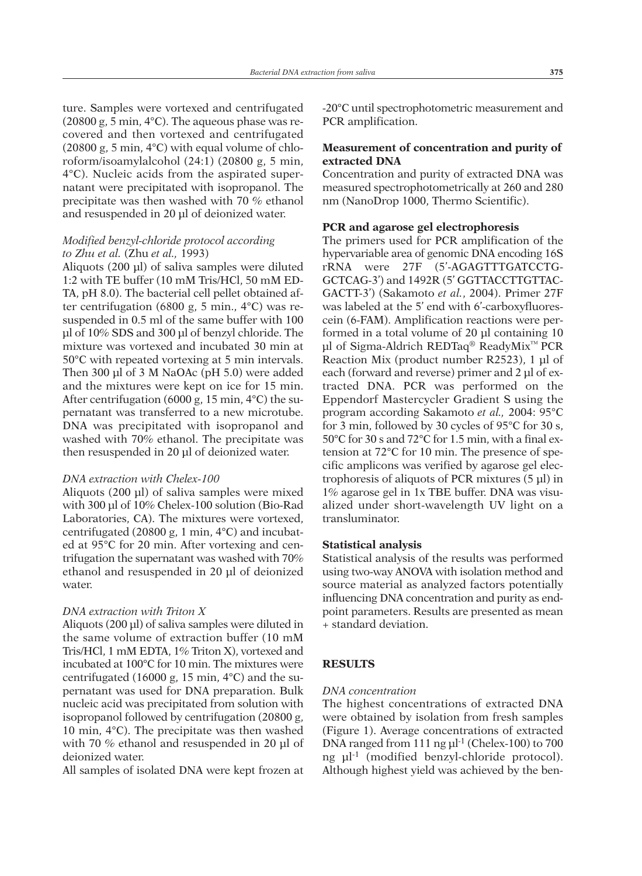ture. Samples were vortexed and centrifugated (20800 g, 5 min, 4°C). The aqueous phase was recovered and then vortexed and centrifugated  $(20800 \text{ g}, 5 \text{ min}, 4^{\circ}\text{C})$  with equal volume of chloroform/isoamylalcohol (24:1) (20800 g, 5 min, 4°C). Nucleic acids from the aspirated supernatant were precipitated with isopropanol. The precipitate was then washed with 70 % ethanol and resuspended in 20 µl of deionized water.

# *Modified benzyl-chloride protocol according to Zhu et al.* (Zhu *et al.,* 1993)

Aliquots (200 µl) of saliva samples were diluted 1:2 with TE buffer (10 mM Tris/HCl, 50 mM ED-TA, pH 8.0). The bacterial cell pellet obtained after centrifugation (6800 g, 5 min., 4°C) was resuspended in 0.5 ml of the same buffer with 100 µl of 10% SDS and 300 µl of benzyl chloride. The mixture was vortexed and incubated 30 min at 50°C with repeated vortexing at 5 min intervals. Then 300 µl of 3 M NaOAc (pH 5.0) were added and the mixtures were kept on ice for 15 min. After centrifugation (6000 g, 15 min, 4°C) the supernatant was transferred to a new microtube. DNA was precipitated with isopropanol and washed with 70% ethanol. The precipitate was then resuspended in 20 µl of deionized water.

#### *DNA extraction with Chelex-100*

Aliquots (200 µl) of saliva samples were mixed with 300 µl of 10% Chelex-100 solution (Bio-Rad Laboratories, CA). The mixtures were vortexed, centrifugated (20800 g, 1 min, 4°C) and incubated at 95°C for 20 min. After vortexing and centrifugation the supernatant was washed with 70% ethanol and resuspended in 20 µl of deionized water.

#### *DNA extraction with Triton X*

Aliquots (200 µl) of saliva samples were diluted in the same volume of extraction buffer (10 mM Tris/HCl, 1 mM EDTA, 1% Triton X), vortexed and incubated at 100°C for 10 min. The mixtures were centrifugated (16000 g, 15 min, 4°C) and the supernatant was used for DNA preparation. Bulk nucleic acid was precipitated from solution with isopropanol followed by centrifugation (20800 g, 10 min, 4°C). The precipitate was then washed with 70 % ethanol and resuspended in 20 µl of deionized water.

All samples of isolated DNA were kept frozen at

-20°C until spectrophotometric measurement and PCR amplification.

# **Measurement of concentration and purity of extracted DNA**

Concentration and purity of extracted DNA was measured spectrophotometrically at 260 and 280 nm (NanoDrop 1000, Thermo Scientific).

#### **PCR and agarose gel electrophoresis**

The primers used for PCR amplification of the hypervariable area of genomic DNA encoding 16S rRNA were 27F (5'-AGAGTTTGATCCTG-GCTCAG-3') and 1492R (5' GGTTACCTTGTTAC-GACTT-3') (Sakamoto *et al.*, 2004). Primer 27F was labeled at the 5' end with 6'-carboxyfluorescein (6-FAM). Amplification reactions were performed in a total volume of 20 µl containing 10 µl of Sigma-Aldrich REDTaq<sup>®</sup> ReadyMix<sup>™</sup> PCR Reaction Mix (product number R2523), 1 µl of each (forward and reverse) primer and 2 µl of extracted DNA. PCR was performed on the Eppendorf Mastercycler Gradient S using the program according Sakamoto *et al.,* 2004: 95°C for 3 min, followed by 30 cycles of 95°C for 30 s, 50°C for 30 s and 72°C for 1.5 min, with a final extension at 72°C for 10 min. The presence of specific amplicons was verified by agarose gel electrophoresis of aliquots of PCR mixtures (5 µl) in 1% agarose gel in 1x TBE buffer. DNA was visualized under short-wavelength UV light on a transluminator.

#### **Statistical analysis**

Statistical analysis of the results was performed using two-way ANOVA with isolation method and source material as analyzed factors potentially influencing DNA concentration and purity as endpoint parameters. Results are presented as mean + standard deviation.

#### **RESULTS**

#### *DNA concentration*

The highest concentrations of extracted DNA were obtained by isolation from fresh samples (Figure 1). Average concentrations of extracted DNA ranged from 111 ng µl -1 (Chelex-100) to 700 ng µl -1 (modified benzyl-chloride protocol). Although highest yield was achieved by the ben-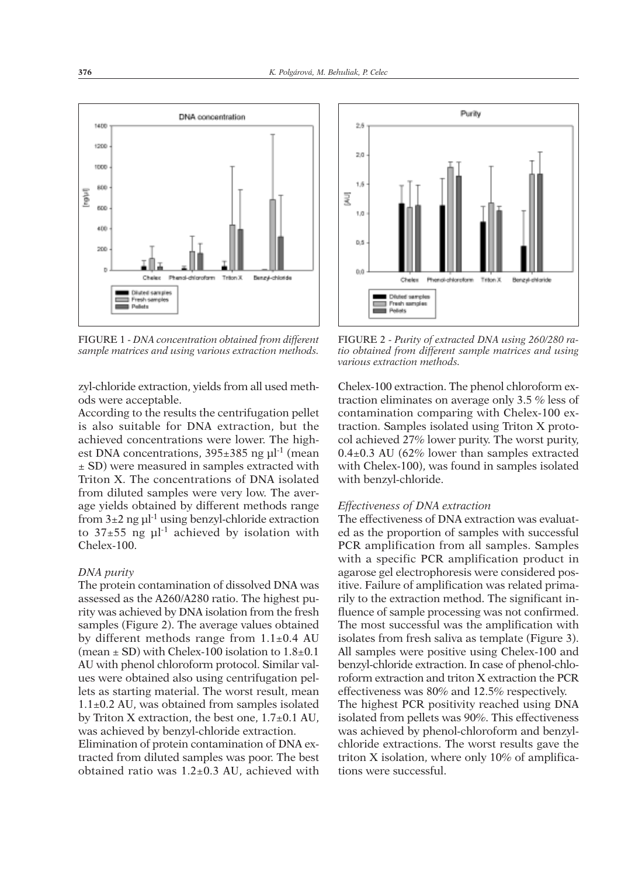

FIGURE 1 - *DNA concentration obtained from different sample matrices and using various extraction methods.*

zyl-chloride extraction, yields from all used methods were acceptable.

According to the results the centrifugation pellet is also suitable for DNA extraction, but the achieved concentrations were lower. The highest DNA concentrations,  $395\pm385$  ng  $\mu$ l<sup>-1</sup> (mean ± SD) were measured in samples extracted with Triton X. The concentrations of DNA isolated from diluted samples were very low. The average yields obtained by different methods range from  $3\pm 2$  ng  $\mu$ <sup>1</sup> using benzyl-chloride extraction to  $37\pm55$  ng  $\mu$ <sup>1</sup> achieved by isolation with Chelex-100.

## *DNA purity*

The protein contamination of dissolved DNA was assessed as the A260/A280 ratio. The highest purity was achieved by DNA isolation from the fresh samples (Figure 2). The average values obtained by different methods range from  $1.1\pm0.4$  AU (mean  $\pm$  SD) with Chelex-100 isolation to  $1.8\pm0.1$ AU with phenol chloroform protocol. Similar values were obtained also using centrifugation pellets as starting material. The worst result, mean 1.1±0.2 AU, was obtained from samples isolated by Triton X extraction, the best one, 1.7±0.1 AU, was achieved by benzyl-chloride extraction.

Elimination of protein contamination of DNA extracted from diluted samples was poor. The best obtained ratio was 1.2±0.3 AU, achieved with



FIGURE 2 - *Purity of extracted DNA using 260/280 ratio obtained from different sample matrices and using various extraction methods.*

Chelex-100 extraction. The phenol chloroform extraction eliminates on average only 3.5 % less of contamination comparing with Chelex-100 extraction. Samples isolated using Triton X protocol achieved 27% lower purity. The worst purity,  $0.4\pm0.3$  AU (62% lower than samples extracted with Chelex-100), was found in samples isolated with benzyl-chloride.

# *Effectiveness of DNA extraction*

The effectiveness of DNA extraction was evaluated as the proportion of samples with successful PCR amplification from all samples. Samples with a specific PCR amplification product in agarose gel electrophoresis were considered positive. Failure of amplification was related primarily to the extraction method. The significant influence of sample processing was not confirmed. The most successful was the amplification with isolates from fresh saliva as template (Figure 3). All samples were positive using Chelex-100 and benzyl-chloride extraction. In case of phenol-chloroform extraction and triton X extraction the PCR effectiveness was 80% and 12.5% respectively. The highest PCR positivity reached using DNA isolated from pellets was 90%. This effectiveness was achieved by phenol-chloroform and benzylchloride extractions. The worst results gave the triton X isolation, where only 10% of amplifications were successful.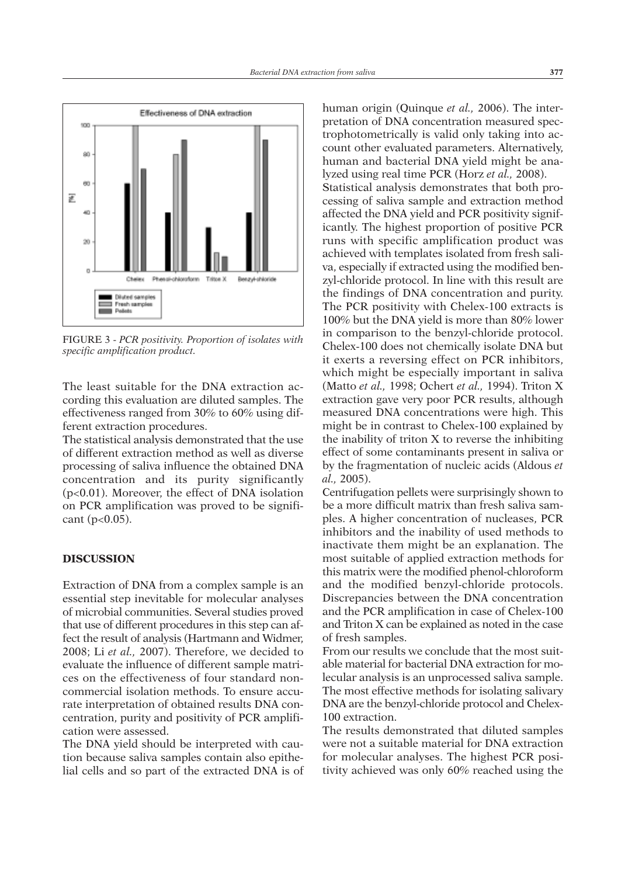

FIGURE 3 - *PCR positivity. Proportion of isolates with specific amplification product.*

The least suitable for the DNA extraction according this evaluation are diluted samples. The effectiveness ranged from 30% to 60% using different extraction procedures.

The statistical analysis demonstrated that the use of different extraction method as well as diverse processing of saliva influence the obtained DNA concentration and its purity significantly (p<0.01). Moreover, the effect of DNA isolation on PCR amplification was proved to be significant  $(p<0.05)$ .

# **DISCUSSION**

Extraction of DNA from a complex sample is an essential step inevitable for molecular analyses of microbial communities. Several studies proved that use of different procedures in this step can affect the result of analysis (Hartmann and Widmer, 2008; Li *et al.,* 2007). Therefore, we decided to evaluate the influence of different sample matrices on the effectiveness of four standard noncommercial isolation methods. To ensure accurate interpretation of obtained results DNA concentration, purity and positivity of PCR amplification were assessed.

The DNA yield should be interpreted with caution because saliva samples contain also epithelial cells and so part of the extracted DNA is of

human origin (Quinque *et al.,* 2006). The interpretation of DNA concentration measured spectrophotometrically is valid only taking into account other evaluated parameters. Alternatively, human and bacterial DNA yield might be analyzed using real time PCR (Horz *et al.,* 2008). Statistical analysis demonstrates that both processing of saliva sample and extraction method affected the DNA yield and PCR positivity significantly. The highest proportion of positive PCR runs with specific amplification product was achieved with templates isolated from fresh saliva, especially if extracted using the modified benzyl-chloride protocol. In line with this result are the findings of DNA concentration and purity. The PCR positivity with Chelex-100 extracts is 100% but the DNA yield is more than 80% lower in comparison to the benzyl-chloride protocol. Chelex-100 does not chemically isolate DNA but it exerts a reversing effect on PCR inhibitors, which might be especially important in saliva (Matto *et al.,* 1998; Ochert *et al.,* 1994). Triton X extraction gave very poor PCR results, although measured DNA concentrations were high. This might be in contrast to Chelex-100 explained by the inability of triton X to reverse the inhibiting effect of some contaminants present in saliva or by the fragmentation of nucleic acids (Aldous *et al.,* 2005).

Centrifugation pellets were surprisingly shown to be a more difficult matrix than fresh saliva samples. A higher concentration of nucleases, PCR inhibitors and the inability of used methods to inactivate them might be an explanation. The most suitable of applied extraction methods for this matrix were the modified phenol-chloroform and the modified benzyl-chloride protocols. Discrepancies between the DNA concentration and the PCR amplification in case of Chelex-100 and Triton X can be explained as noted in the case of fresh samples.

From our results we conclude that the most suitable material for bacterial DNA extraction for molecular analysis is an unprocessed saliva sample. The most effective methods for isolating salivary DNA are the benzyl-chloride protocol and Chelex-100 extraction.

The results demonstrated that diluted samples were not a suitable material for DNA extraction for molecular analyses. The highest PCR positivity achieved was only 60% reached using the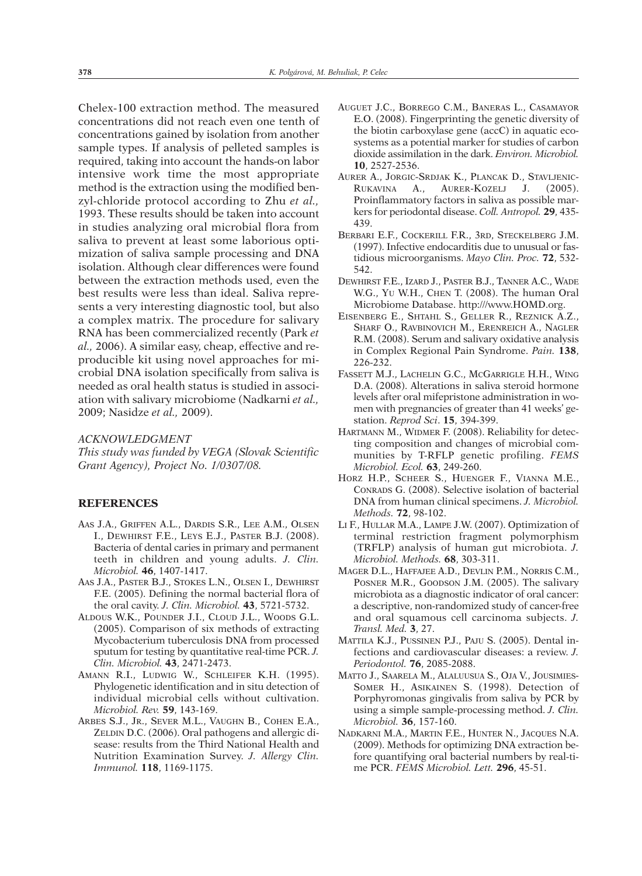Chelex-100 extraction method. The measured concentrations did not reach even one tenth of concentrations gained by isolation from another sample types. If analysis of pelleted samples is required, taking into account the hands-on labor intensive work time the most appropriate method is the extraction using the modified benzyl-chloride protocol according to Zhu *et al.,* 1993. These results should be taken into account in studies analyzing oral microbial flora from saliva to prevent at least some laborious optimization of saliva sample processing and DNA isolation. Although clear differences were found between the extraction methods used, even the best results were less than ideal. Saliva represents a very interesting diagnostic tool, but also a complex matrix. The procedure for salivary RNA has been commercialized recently (Park *et al.,* 2006). A similar easy, cheap, effective and reproducible kit using novel approaches for microbial DNA isolation specifically from saliva is needed as oral health status is studied in association with salivary microbiome (Nadkarni *et al.,* 2009; Nasidze *et al.,* 2009).

# *ACKNOWLEDGMENT*

*This study was funded by VEGA (Slovak Scientific Grant Agency), Project No. 1/0307/08.*

## **REFERENCES**

- AAS J.A., GRIFFEN A.L., DARDIS S.R., LEE A.M., OLSEN I., DEWHIRST F.E., LEYS E.J., PASTER B.J. (2008). Bacteria of dental caries in primary and permanent teeth in children and young adults. *J. Clin. Microbiol.* **46**, 1407-1417.
- AAS J.A., PASTER B.J., STOKES L.N., OLSEN I., DEWHIRST F.E. (2005). Defining the normal bacterial flora of the oral cavity. *J. Clin. Microbiol.* **43**, 5721-5732.
- ALDOUS W.K., POUNDER J.I., CLOUD J.L., WOODS G.L. (2005). Comparison of six methods of extracting Mycobacterium tuberculosis DNA from processed sputum for testing by quantitative real-time PCR. *J. Clin. Microbiol.* **43**, 2471-2473.
- AMANN R.I., LUDWIG W., SCHLEIFER K.H. (1995). Phylogenetic identification and in situ detection of individual microbial cells without cultivation. *Microbiol. Rev.* **59**, 143-169.
- ARBES S.J., JR., SEVER M.L., VAUGHN B., COHEN E.A., ZELDIN D.C. (2006). Oral pathogens and allergic disease: results from the Third National Health and Nutrition Examination Survey. *J. Allergy Clin. Immunol.* **118**, 1169-1175.
- AUGUET J.C., BORREGO C.M., BANERAS L., CASAMAYOR E.O. (2008). Fingerprinting the genetic diversity of the biotin carboxylase gene (accC) in aquatic ecosystems as a potential marker for studies of carbon dioxide assimilation in the dark. *Environ. Microbiol.* **10**, 2527-2536.
- AURER A., JORGIC-SRDJAK K., PLANCAK D., STAVLJENIC-RUKAVINA A., AURER-KOZELJ J. (2005). Proinflammatory factors in saliva as possible markers for periodontal disease. *Coll. Antropol.* **29**, 435- 439.
- BERBARI E.F., COCKERILL F.R., 3RD, STECKELBERG J.M. (1997). Infective endocarditis due to unusual or fastidious microorganisms. *Mayo Clin. Proc.* **72**, 532- 542.
- DEWHIRST F.E., IZARD J., PASTER B.J., TANNER A.C., WADE W.G., YU W.H., CHEN T. (2008). The human Oral Microbiome Database. http:///www.HOMD.org.
- EISENBERG E., SHTAHL S., GELLER R., REZNICK A.Z., SHARF O., RAVBINOVICH M., ERENREICH A., NAGLER R.M. (2008). Serum and salivary oxidative analysis in Complex Regional Pain Syndrome. *Pain.* **138**, 226-232.
- FASSETT M.J., LACHELIN G.C., MCGARRIGLE H.H., WING D.A. (2008). Alterations in saliva steroid hormone levels after oral mifepristone administration in women with pregnancies of greater than 41 weeks' gestation. *Reprod Sci*. **15**, 394-399.
- HARTMANN M., WIDMER F. (2008). Reliability for detecting composition and changes of microbial communities by T-RFLP genetic profiling. *FEMS Microbiol. Ecol.* **63**, 249-260.
- HORZ H.P., SCHEER S., HUENGER F., VIANNA M.E., CONRADS G. (2008). Selective isolation of bacterial DNA from human clinical specimens. *J. Microbiol. Methods.* **72**, 98-102.
- LI F., HULLAR M.A., LAMPE J.W. (2007). Optimization of terminal restriction fragment polymorphism (TRFLP) analysis of human gut microbiota. *J. Microbiol. Methods.* **68**, 303-311.
- MAGER D.L., HAFFAJEE A.D., DEVLIN P.M., NORRIS C.M., POSNER M.R., GOODSON J.M. (2005). The salivary microbiota as a diagnostic indicator of oral cancer: a descriptive, non-randomized study of cancer-free and oral squamous cell carcinoma subjects. *J. Transl. Med.* **3**, 27.
- MATTILA K.J., PUSSINEN P.J., PAJU S. (2005). Dental infections and cardiovascular diseases: a review. *J. Periodontol.* **76**, 2085-2088.
- MATTO J., SAARELA M., ALALUUSUA S., OJA V., JOUSIMIES-SOMER H., ASIKAINEN S. (1998). Detection of Porphyromonas gingivalis from saliva by PCR by using a simple sample-processing method. *J. Clin. Microbiol.* **36**, 157-160.
- NADKARNI M.A., MARTIN F.E., HUNTER N., JACQUES N.A. (2009). Methods for optimizing DNA extraction before quantifying oral bacterial numbers by real-time PCR. *FEMS Microbiol. Lett.* **296**, 45-51.